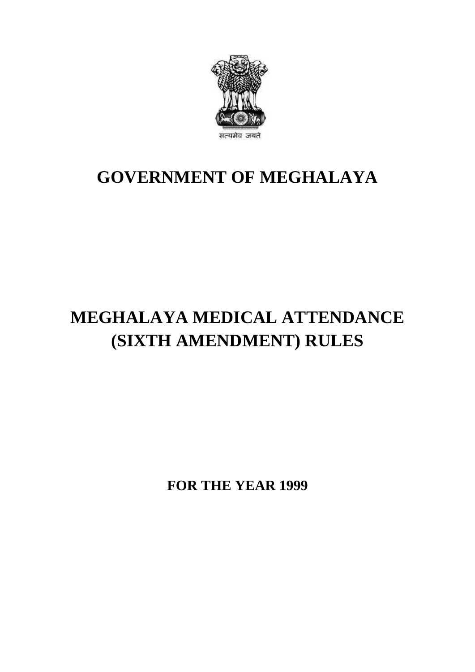

## **GOVERNMENT OF MEGHALAYA**

# **MEGHALAYA MEDICAL ATTENDANCE (SIXTH AMENDMENT) RULES**

**FOR THE YEAR 1999**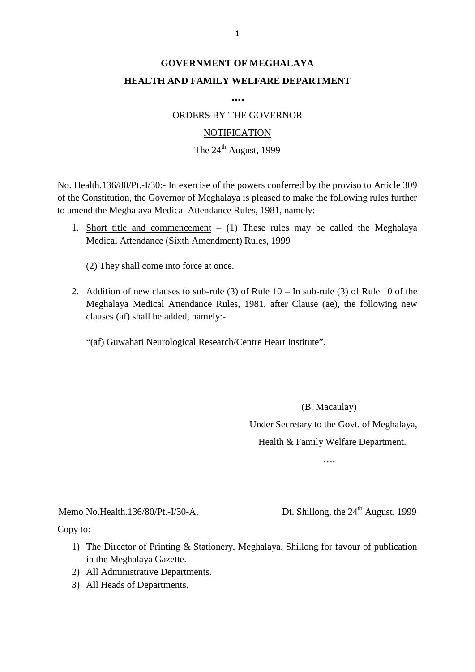### **GOVERNMENT OF MEGHALAYA HEALTH AND FAMILY WELFARE DEPARTMENT**

**….**

ORDERS BY THE GOVERNOR

#### **NOTIFICATION**

#### The  $24^{\text{th}}$  August, 1999

NOTIFICATION<br>The 24<sup>th</sup> August, 1999<br>No. Health.136/80/Pt.-I/30:- In exercise of the powers conferred by the proviso to Article 309<br>of the Constitution, the Governor of Meghalaya is pleased to make the following rules furt to amend the Meghalaya Medical Attendance Rules, 1981, namely:- No. Health.136/80/Pt.-I/30:- In exercise of the powers conferred by the proviso to Article 309 of the Constitution, the Governor of Meghalaya is pleased to make the following rules further to amend the Meghalaya Medical At

Medical Attendance (Sixth Amendment) Rules, 1999

(2) They shall come into force at once.

Medical Attendance (Sixth Amendment) Rules, 1999<br>
(2) They shall come into force at once.<br>
2. Addition of new clauses to sub-rule (3) of Rule 10 – In sub-rule (3) of Rule 10 of the<br>
Meghalaya Medical Attendance Rules, 1981 (2) They shall come into force at once.<br>Addition of new clauses to sub-rule (3) of Rule  $10 - \text{In}$  sub-rule (3) of Rule 10 of the<br>Meghalaya Medical Attendance Rules, 1981, after Clause (ae), the following new<br>clauses (af) clauses (af) shall be added, namely:- Addition of new clauses to sub-rule (3) of Rule 10 – In sub-rule (3)<br>Meghalaya Medical Attendance Rules, 1981, after Clause (ae),<br>clauses (af) shall be added, namely:-<br>"(af) Guwahati Neurological Research/Centre Heart Inst

(B. Macaulay)

Under Secretary to the Govt. of Meghalaya, Health & Family Welfare Department.

….

....<br>Memo No.Health.136/80/Pt.-I/30-A, Dt. Shillong, the 24<sup>th</sup> August, 1999<br>Copy to:-

Copy to:-

- 1) The Director of Printing & Stationery, Meghalaya, Shillong, the 24<sup>th</sup> August, 1999<br>
2011 The Director of Printing & Stationery, Meghalaya, Shillong for favour of publication<br>
in the Meghalaya Gazette. in the Meghalaya Gazette. 2) All Administrative Departments.<br>
2) All Administrative Departments.<br>
2) All Administrative Departments. by to:-<br>
1) The Director of Printing &<br>
in the Meghalaya Gazette.<br>
2) All Administrative Departn<br>
3) All Heads of Departments.
- 
-